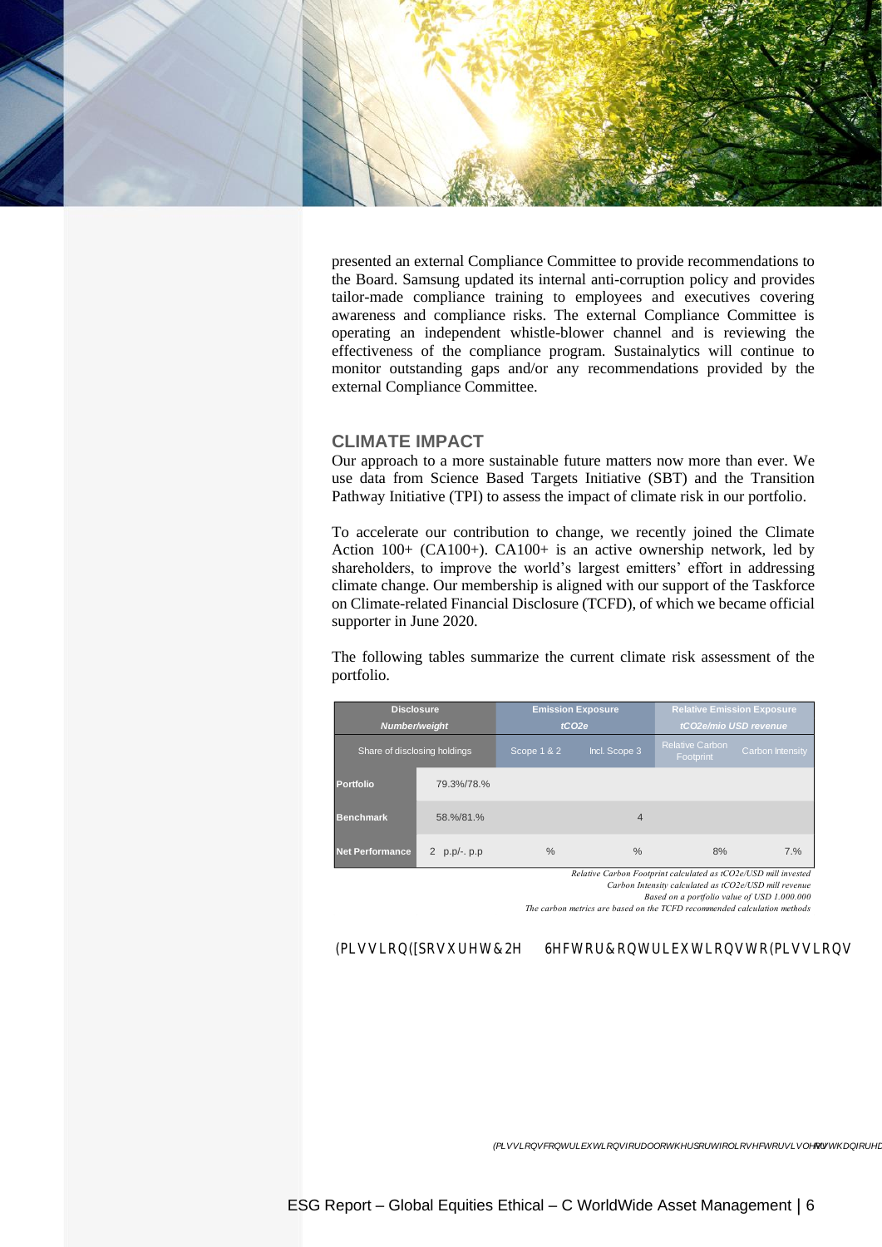

presented an external Compliance Committee to provide recommendations to the Board. Samsung updated its internal anti-corruption policy and provides tailor-made compliance training to employees and executives covering awareness and compliance risks. The external Compliance Committee is operating an independent whistle-blower channel and is reviewing the effectiveness of the compliance program. Sustainalytics will continue to monitor outstanding gaps and/or any recommendations provided by the external Compliance Committee.

## **CLIMATE IMPACT**

Our approach to a more sustainable future matters now more than ever. We use data from Science Based Targets Initiative (SBT) and the Transition Pathway Initiative (TPI) to assess the impact of climate risk in our portfolio.

To accelerate our contribution to change, we recently joined the Climate Action 100+ (CA100+). CA100+ is an active ownership network, led by shareholders, to improve the world's largest emitters' effort in addressing climate change. Our membership is aligned with our support of the Taskforce on Climate-related Financial Disclosure (TCFD), of which we became official supporter in June 2020.

The following tables summarize the current climate risk assessment of the portfolio.

| <b>Disclosure</b><br>Number/weight |                      |             | <b>Emission Exposure</b><br>tCO2e | <b>Relative Emission Exposure</b><br>tCO2e/mio USD revenue |                         |  |
|------------------------------------|----------------------|-------------|-----------------------------------|------------------------------------------------------------|-------------------------|--|
| Share of disclosing holdings       |                      | Scope 1 & 2 | Incl. Scope 3                     | <b>Relative Carbon</b><br>Footprint                        | <b>Carbon Intensity</b> |  |
| Portfolio                          | 79.3%/78.%           |             |                                   |                                                            |                         |  |
| <b>Benchmark</b>                   | 58.%/81.%            |             | $\overline{4}$                    |                                                            |                         |  |
| <b>Net Performance</b>             | 2<br>$p.p/-$ . $p.p$ | $\%$        | $\frac{0}{0}$                     | 8%                                                         | 7.%                     |  |

*Relative Carbon Footprint calculated as tCO2e/USD mill invested*

*Carbon Intensity calculated as tCO2e/USD mill revenue Based on a portfolio value of USD 1.000.000*

*The carbon metrics are based on the TCFD recommended calculation methods*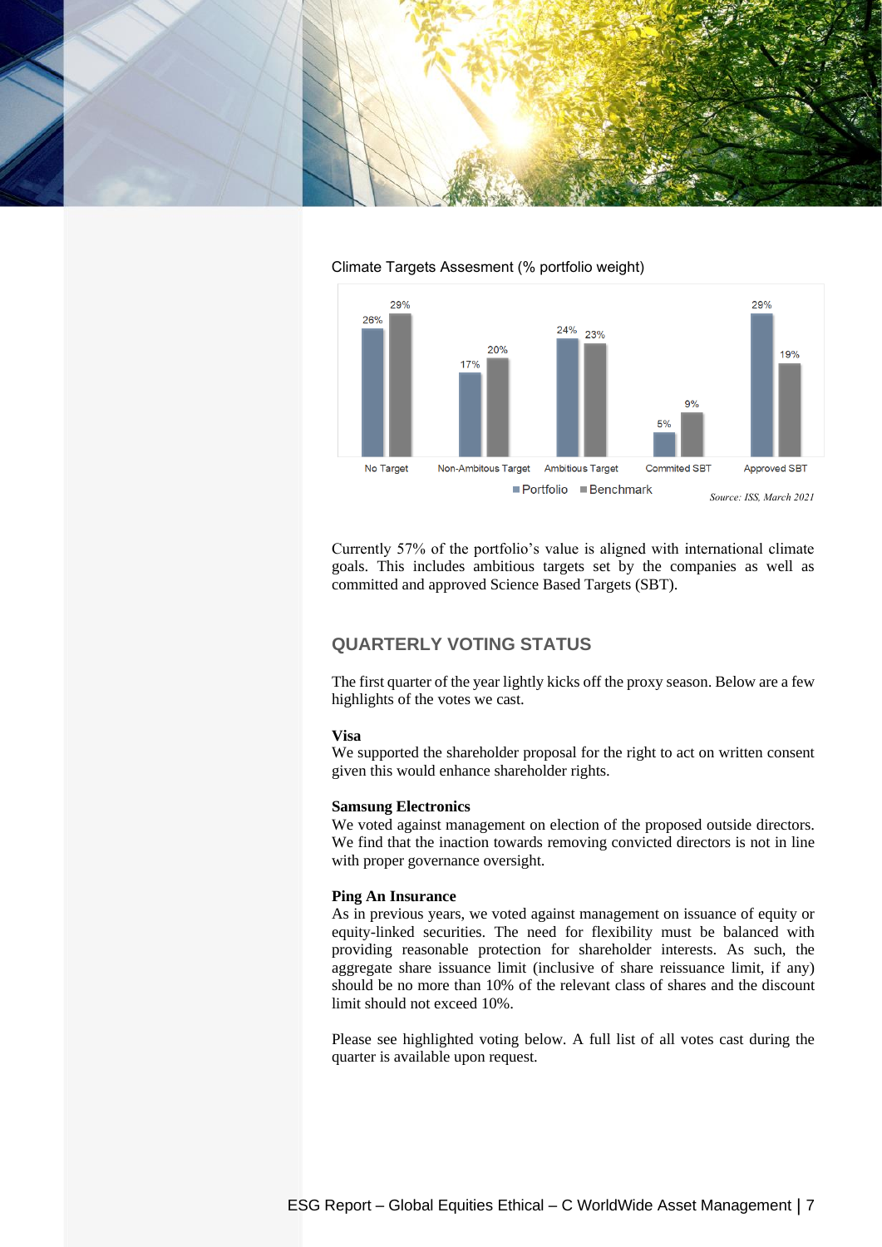



## Climate Targets Assesment (% portfolio weight)

Currently 57% of the portfolio's value is aligned with international climate goals. This includes ambitious targets set by the companies as well as committed and approved Science Based Targets (SBT).

# **QUARTERLY VOTING STATUS**

The first quarter of the year lightly kicks off the proxy season. Below are a few highlights of the votes we cast.

#### **Visa**

We supported the shareholder proposal for the right to act on written consent given this would enhance shareholder rights.

## **Samsung Electronics**

We voted against management on election of the proposed outside directors. We find that the inaction towards removing convicted directors is not in line with proper governance oversight.

#### **Ping An Insurance**

As in previous years, we voted against management on issuance of equity or equity-linked securities. The need for flexibility must be balanced with providing reasonable protection for shareholder interests. As such, the aggregate share issuance limit (inclusive of share reissuance limit, if any) should be no more than 10% of the relevant class of shares and the discount limit should not exceed 10%.

Please see highlighted voting below. A full list of all votes cast during the quarter is available upon request.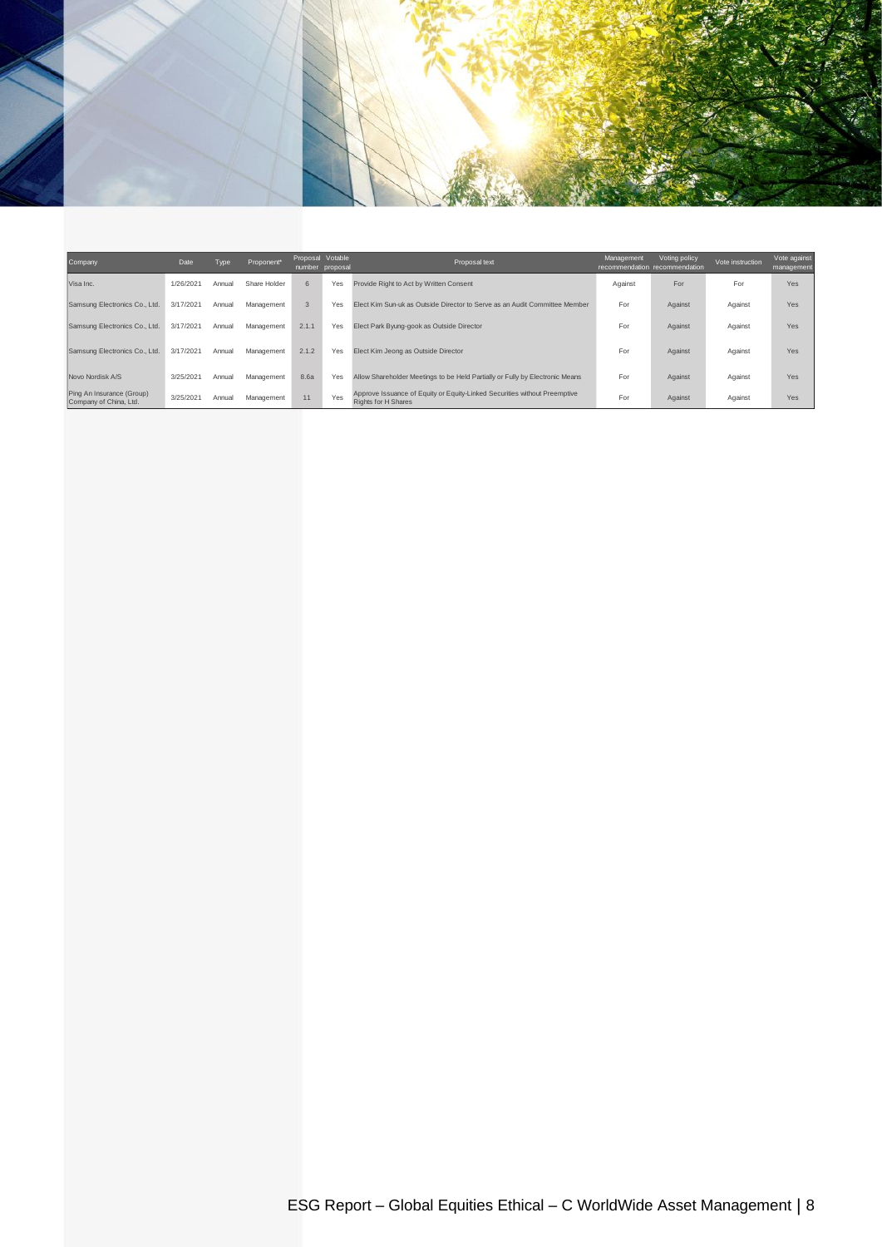

| Company                                             | Date      | Type   | Proponent*   | Proposal Votable | number proposal | Proposal text                                                                                           | Management | Voting policy<br>recommendation recommendation | Vote instruction | Vote against<br>management |
|-----------------------------------------------------|-----------|--------|--------------|------------------|-----------------|---------------------------------------------------------------------------------------------------------|------------|------------------------------------------------|------------------|----------------------------|
| Visa Inc.                                           | 1/26/2021 | Annual | Share Holder | 6                | Yes             | Provide Right to Act by Written Consent                                                                 | Against    | For                                            | For              | Yes                        |
| Samsung Electronics Co., Ltd.                       | 3/17/2021 | Annual | Management   | 3                | Yes             | Elect Kim Sun-uk as Outside Director to Serve as an Audit Committee Member                              | For        | Against                                        | Against          | Yes                        |
| Samsung Electronics Co., Ltd.                       | 3/17/2021 | Annual | Management   | 2.1.1            | Yes             | Elect Park Byung-gook as Outside Director                                                               | For        | Against                                        | Against          | Yes                        |
| Samsung Electronics Co., Ltd.                       | 3/17/2021 | Annual | Management   | 2.1.2            | Yes             | Elect Kim Jeong as Outside Director                                                                     | For        | Against                                        | Against          | Yes                        |
| Novo Nordisk A/S                                    | 3/25/2021 | Annual | Management   | 8.6a             | Yes             | Allow Shareholder Meetings to be Held Partially or Fully by Electronic Means                            | For        | Against                                        | Against          | Yes                        |
| Ping An Insurance (Group)<br>Company of China, Ltd. | 3/25/2021 | Annual | Management   | 11               | Yes             | Approve Issuance of Equity or Equity-Linked Securities without Preemptive<br><b>Rights for H Shares</b> | For        | Against                                        | Against          | Yes                        |
|                                                     |           |        |              |                  |                 |                                                                                                         |            |                                                |                  |                            |